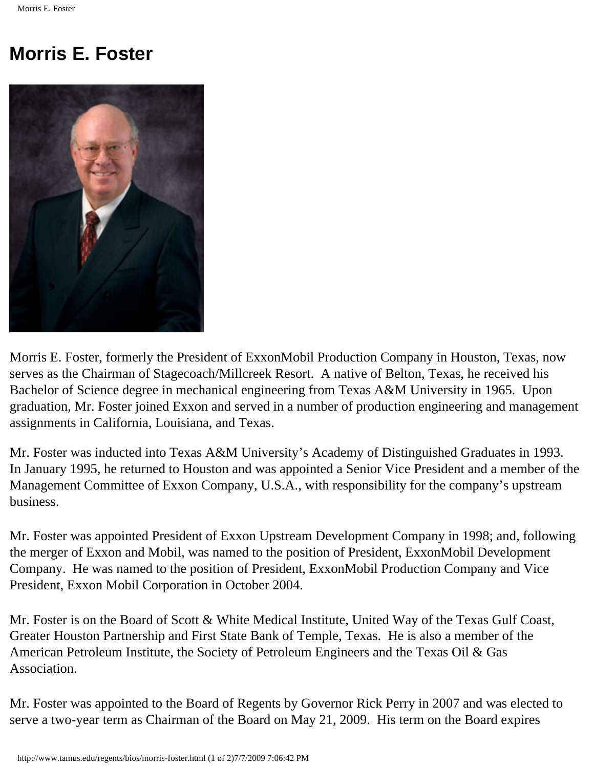## **Morris E. Foster**



Morris E. Foster, formerly the President of ExxonMobil Production Company in Houston, Texas, now serves as the Chairman of Stagecoach/Millcreek Resort. A native of Belton, Texas, he received his Bachelor of Science degree in mechanical engineering from Texas A&M University in 1965. Upon graduation, Mr. Foster joined Exxon and served in a number of production engineering and management assignments in California, Louisiana, and Texas.

Mr. Foster was inducted into Texas A&M University's Academy of Distinguished Graduates in 1993. In January 1995, he returned to Houston and was appointed a Senior Vice President and a member of the Management Committee of Exxon Company, U.S.A., with responsibility for the company's upstream business.

Mr. Foster was appointed President of Exxon Upstream Development Company in 1998; and, following the merger of Exxon and Mobil, was named to the position of President, ExxonMobil Development Company. He was named to the position of President, ExxonMobil Production Company and Vice President, Exxon Mobil Corporation in October 2004.

Mr. Foster is on the Board of Scott & White Medical Institute, United Way of the Texas Gulf Coast, Greater Houston Partnership and First State Bank of Temple, Texas. He is also a member of the American Petroleum Institute, the Society of Petroleum Engineers and the Texas Oil & Gas Association.

Mr. Foster was appointed to the Board of Regents by Governor Rick Perry in 2007 and was elected to serve a two-year term as Chairman of the Board on May 21, 2009. His term on the Board expires